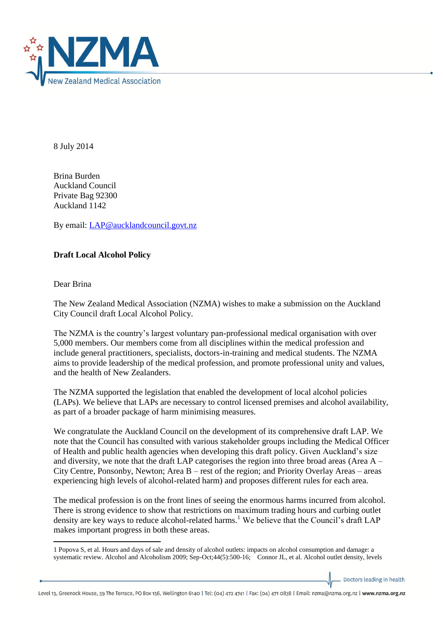

8 July 2014

Brina Burden Auckland Council Private Bag 92300 Auckland 1142

By email: [LAP@aucklandcouncil.govt.nz](mailto:LAP@aucklandcouncil.govt.nz)

## **Draft Local Alcohol Policy**

Dear Brina

1

The New Zealand Medical Association (NZMA) wishes to make a submission on the Auckland City Council draft Local Alcohol Policy.

The NZMA is the country's largest voluntary pan-professional medical organisation with over 5,000 members. Our members come from all disciplines within the medical profession and include general practitioners, specialists, doctors-in-training and medical students. The NZMA aims to provide leadership of the medical profession, and promote professional unity and values, and the health of New Zealanders.

The NZMA supported the legislation that enabled the development of local alcohol policies (LAPs). We believe that LAPs are necessary to control licensed premises and alcohol availability, as part of a broader package of harm minimising measures.

We congratulate the Auckland Council on the development of its comprehensive draft LAP. We note that the Council has consulted with various stakeholder groups including the Medical Officer of Health and public health agencies when developing this draft policy. Given Auckland's size and diversity, we note that the draft LAP categorises the region into three broad areas (Area  $A -$ City Centre, Ponsonby, Newton; Area B – rest of the region; and Priority Overlay Areas – areas experiencing high levels of alcohol-related harm) and proposes different rules for each area.

The medical profession is on the front lines of seeing the enormous harms incurred from alcohol. There is strong evidence to show that restrictions on maximum trading hours and curbing outlet density are key ways to reduce alcohol-related harms.<sup>1</sup> We believe that the Council's draft LAP makes important progress in both these areas.

Doctors leading in health

Level 13, Greenock House, 39 The Terrace, PO Box 156, Wellington 6140 | Tel: (04) 472 4741 | Fax: (04) 471 0838 | Email: nzma@nzma.org.nz | www.nzma.org.nz

<sup>1</sup> Popova S, et al. Hours and days of sale and density of alcohol outlets: impacts on alcohol consumption and damage: a systematic review. Alcohol and Alcoholism 2009; Sep-Oct;44(5):500-16; Connor JL, et al. Alcohol outlet density, levels